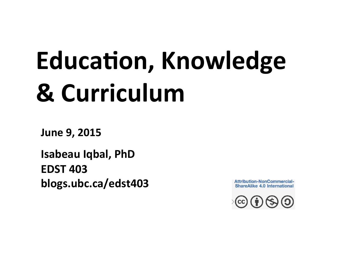# **Education, Knowledge & Curriculum**

**June 9, 2015**

**Isabeau Iqbal, PhD EDST 403 blogs.ubc.ca/edst403**

**Attribution-NonCommercial-ShareAlike 4.0 International** 

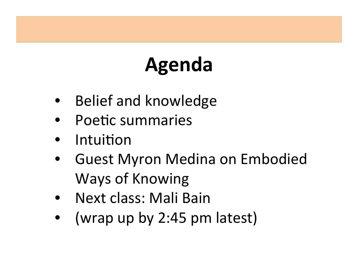# **Agenda**

- Belief and knowledge
- Poetic summaries
- **Intuition**
- Guest Myron Medina on Embodied Ways of Knowing
- Next class: Mali Bain
- (wrap up by 2:45 pm latest)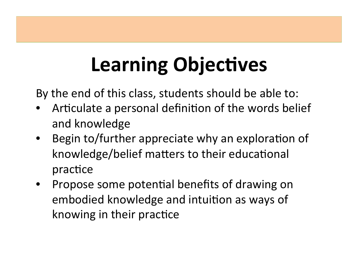# **Learning Objectives**

By the end of this class, students should be able to:

- Articulate a personal definition of the words belief and knowledge
- Begin to/further appreciate why an exploration of knowledge/belief matters to their educational practice
- Propose some potential benefits of drawing on embodied knowledge and intuition as ways of knowing in their practice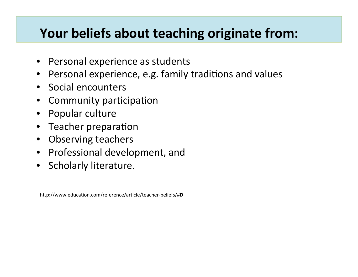#### **Your beliefs about teaching originate from:**

- Personal experience as students
- Personal experience, e.g. family traditions and values
- Social encounters
- Community participation
- Popular culture
- Teacher preparation
- Observing teachers
- Professional development, and
- Scholarly literature.

http://www.education.com/reference/article/teacher-beliefs/#D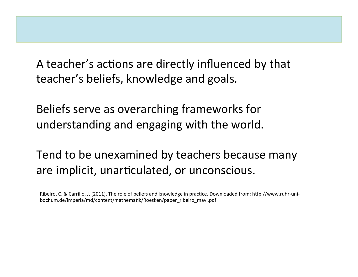A teacher's actions are directly influenced by that teacher's beliefs, knowledge and goals.

Beliefs serve as overarching frameworks for understanding and engaging with the world.

Tend to be unexamined by teachers because many are implicit, unarticulated, or unconscious.

Ribeiro, C. & Carrillo, J. (2011). The role of beliefs and knowledge in practice. Downloaded from: http://www.ruhr-unibochum.de/imperia/md/content/mathematik/Roesken/paper\_ribeiro\_mavi.pdf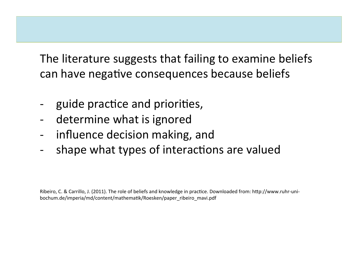The literature suggests that failing to examine beliefs can have negative consequences because beliefs

- guide practice and priorities,
- determine what is ignored
- influence decision making, and
- shape what types of interactions are valued

Ribeiro, C. & Carrillo, J. (2011). The role of beliefs and knowledge in practice. Downloaded from: http://www.ruhr-unibochum.de/imperia/md/content/mathematik/Roesken/paper\_ribeiro\_mavi.pdf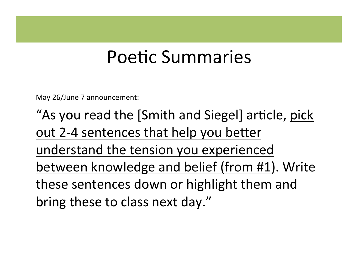#### Poetic Summaries

May 26/June 7 announcement:

"As you read the [Smith and Siegel] article, pick out 2-4 sentences that help you better understand the tension you experienced between knowledge and belief (from #1). Write these sentences down or highlight them and bring these to class next day."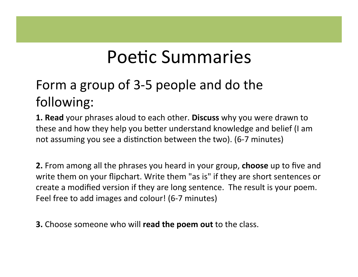### Poetic Summaries

#### Form a group of 3-5 people and do the following:

**1. Read** your phrases aloud to each other. **Discuss** why you were drawn to these and how they help you better understand knowledge and belief (I am not assuming you see a distinction between the two). (6-7 minutes)

**2.** From among all the phrases you heard in your group, **choose** up to five and write them on your flipchart. Write them "as is" if they are short sentences or create a modified version if they are long sentence. The result is your poem. Feel free to add images and colour! (6-7 minutes)

**3.** Choose someone who will **read the poem out** to the class.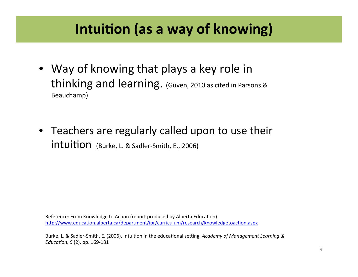#### **Intuition (as a way of knowing)**

- Way of knowing that plays a key role in thinking and learning. (Güven, 2010 as cited in Parsons & Beauchamp)
- Teachers are regularly called upon to use their intuition (Burke, L. & Sadler-Smith, E., 2006)

Reference: From Knowledge to Action (report produced by Alberta Education) http://www.education.alberta.ca/department/ipr/curriculum/research/knowledgetoaction.aspx

Burke, L. & Sadler-Smith, E. (2006). Intuition in the educational setting. Academy of Management Learning & *Education, 5* (2). pp. 169-181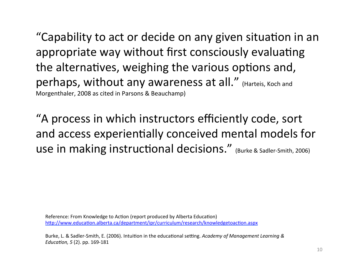"Capability to act or decide on any given situation in an appropriate way without first consciously evaluating the alternatives, weighing the various options and, perhaps, without any awareness at all." (Harteis, Koch and Morgenthaler, 2008 as cited in Parsons & Beauchamp)

"A process in which instructors efficiently code, sort and access experientially conceived mental models for use in making instructional decisions." (Burke & Sadler-Smith, 2006)

Reference: From Knowledge to Action (report produced by Alberta Education) http://www.education.alberta.ca/department/ipr/curriculum/research/knowledgetoaction.aspx

Burke, L. & Sadler-Smith, E. (2006). Intuition in the educational setting. Academy of Management Learning & *Education, 5* (2). pp. 169-181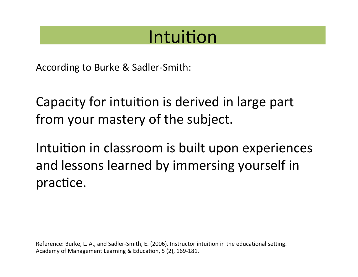#### Intuition

According to Burke & Sadler-Smith:

Capacity for intuition is derived in large part from your mastery of the subject.

Intuition in classroom is built upon experiences and lessons learned by immersing yourself in practice.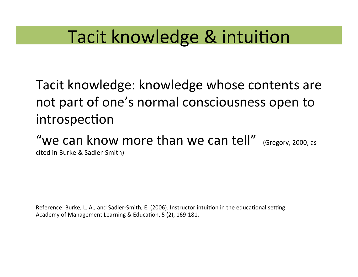### Tacit knowledge & intuition

Tacit knowledge: knowledge whose contents are not part of one's normal consciousness open to introspection

"we can know more than we can tell"  $(Gregory, 2000, as$ cited in Burke & Sadler-Smith)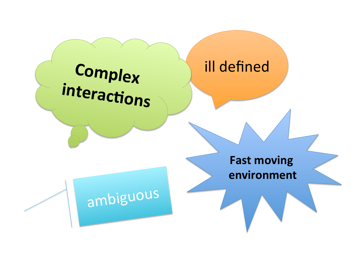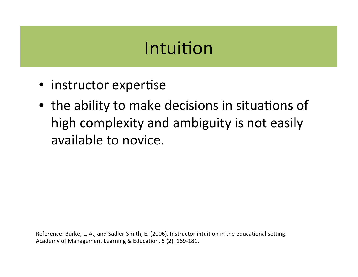#### Intuition

- instructor expertise
- the ability to make decisions in situations of high complexity and ambiguity is not easily available to novice.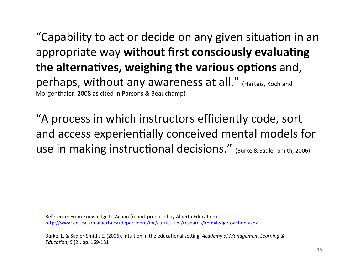"Capability to act or decide on any given situation in an appropriate way without first consciously evaluating **the alternatives, weighing the various options** and, perhaps, without any awareness at all." (Harteis, Koch and Morgenthaler, 2008 as cited in Parsons & Beauchamp)

"A process in which instructors efficiently code, sort and access experientially conceived mental models for use in making instructional decisions." (Burke & Sadler-Smith, 2006)

Reference: From Knowledge to Action (report produced by Alberta Education) http://www.education.alberta.ca/department/ipr/curriculum/research/knowledgetoaction.aspx

Burke, L. & Sadler-Smith, E. (2006). Intuition in the educational setting. Academy of Management Learning & *Education, 5* (2). pp. 169-181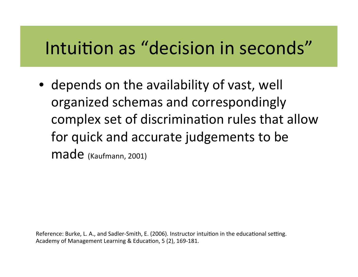## Intuition as "decision in seconds"

• depends on the availability of vast, well organized schemas and correspondingly complex set of discrimination rules that allow for quick and accurate judgements to be made (Kaufmann, 2001)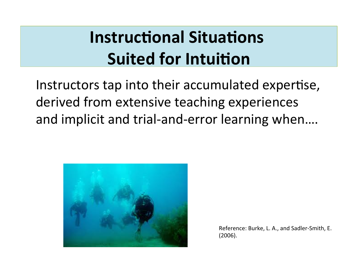## **Instructional Situations Suited for Intuition**

Instructors tap into their accumulated expertise, derived from extensive teaching experiences and implicit and trial-and-error learning when....



Reference: Burke, L. A., and Sadler-Smith, E. (2006).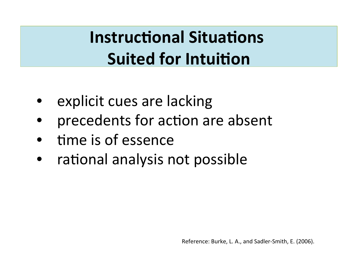**Instructional Situations Suited for Intuition** 

- explicit cues are lacking
- precedents for action are absent
- time is of essence
- rational analysis not possible

Reference: Burke, L. A., and Sadler-Smith, E. (2006).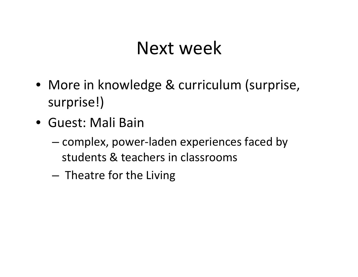#### Next week

- More in knowledge & curriculum (surprise, surprise!)
- Guest: Mali Bain
	- $-$  complex, power-laden experiences faced by students & teachers in classrooms
	- $-$  Theatre for the Living